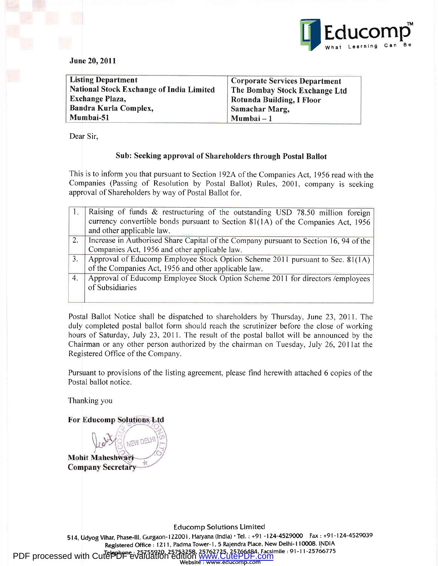

June 20,2011

| <b>Listing Department</b>                | <b>Corporate Services Department</b> |
|------------------------------------------|--------------------------------------|
| National Stock Exchange of India Limited | The Bombay Stock Exchange Ltd        |
| <b>Exchange Plaza,</b>                   | Rotunda Building, I Floor            |
| Bandra Kurla Complex,                    | <b>Samachar Marg,</b>                |
| Mumbai-51                                | Mumbai – 1                           |

Dear Sir,

# Sub: Seeking approval of Shareholders through Postal Ballot

This is to inform you that pursuant to Section l92A of the Companies Act, 1956 read with the Companies (Passing of Resolution by Postal Ballot) Rules,200l, company is seeking approval of Shareholders by way of Postal Ballot for.

|    | Raising of funds & restructuring of the outstanding USD 78.50 million foreign         |
|----|---------------------------------------------------------------------------------------|
|    | currency convertible bonds pursuant to Section 81(1A) of the Companies Act, 1956      |
|    | and other applicable law.                                                             |
| 2. | Increase in Authorised Share Capital of the Company pursuant to Section 16, 94 of the |
|    | Companies Act, 1956 and other applicable law.                                         |
| 3. | Approval of Educomp Employee Stock Option Scheme 2011 pursuant to Sec. 81(1A)         |
|    | of the Companies Act, 1956 and other applicable law.                                  |
| 4. | Approval of Educomp Employee Stock Option Scheme 2011 for directors /employees        |
|    | of Subsidiaries                                                                       |
|    |                                                                                       |

Postal Ballot Notice shall be dispatched to shareholders by Thursday, June 23,2011. The duly completed postal ballot form should reach the scrutinizer before the close of working hours of Saturday, July 23,2011. The result of the postal ballot will be announced by the Chairman or any other person authorized by the chairman on Tuesday, July 26,20llat the Registered Office of the Company.

Pursuant to provisions of the listing agreement, please find herewith attached 6 copies of the Postal ballot notice.

Thanking you

For Educomp Solutions Ltd

**JEW DEL Mohit Maheshwari Company Secretary** 

Educomp Solutions Limitecl

514, Udyog Vihar, Phase-lll, Gurgaon-l ZZOO1, Haryana (lndia) 'Tel. : +91 -lZ4-4529O0o Fax: +91-124-4529039 Registered Office: 1211, Padma Tower-1, 5 Rajendra Place, New Delhi-110008. INDIA PDF processed with CutePDF evaluation edition [www.CutePDF.com](http://www.cutepdf.com) Website : www.educomp.com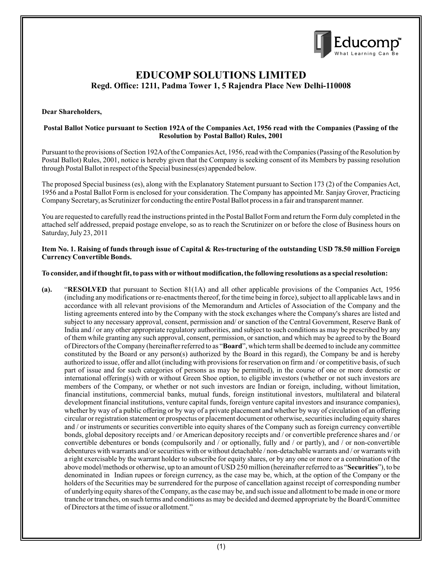

# **EDUCOMP SOLUTIONS LIMITED Regd. Office: 1211, Padma Tower 1, 5 Rajendra Place New Delhi-110008**

### **Dear Shareholders,**

#### **Postal Ballot Notice pursuant to Section 192A of the Companies Act, 1956 read with the Companies (Passing of the Resolution by Postal Ballot) Rules, 2001**

Pursuant to the provisions of Section 192Aof the Companies Act, 1956, read with the Companies (Passing of the Resolution by Postal Ballot) Rules, 2001, notice is hereby given that the Company is seeking consent of its Members by passing resolution through Postal Ballot in respect of the Special business(es) appended below.

The proposed Special business (es), along with the Explanatory Statement pursuant to Section 173 (2) of the Companies Act, 1956 and a Postal Ballot Form is enclosed for your consideration. The Company has appointed Mr. Sanjay Grover, Practicing Company Secretary, as Scrutinizer for conducting the entire Postal Ballot process in a fair and transparent manner.

You are requested to carefully read the instructions printed in the Postal Ballot Form and return the Form duly completed in the attached self addressed, prepaid postage envelope, so as to reach the Scrutinizer on or before the close of Business hours on Saturday, July 23, 2011

#### **Item No. 1. Raising of funds through issue of Capital & Res-tructuring of the outstanding USD 78.50 million Foreign Currency Convertible Bonds.**

#### **To consider, and if thought fit, to pass with orwithout modification, the following resolutions as a special resolution:**

**(a).** "**RESOLVED** that pursuant to Section 81(1A) and all other applicable provisions of the Companies Act, 1956 (including any modifications or re-enactments thereof, for the time being in force), subject to all applicable laws and in accordance with all relevant provisions of the Memorandum and Articles of Association of the Company and the listing agreements entered into by the Company with the stock exchanges where the Company's shares are listed and subject to any necessary approval, consent, permission and/ or sanction of the Central Government, Reserve Bank of India and / or any other appropriate regulatory authorities, and subject to such conditions as may be prescribed by any of them while granting any such approval, consent, permission, or sanction, and which may be agreed to by the Board of Directors of the Company (hereinafter referred to as "**Board**", which term shall be deemed to include any committee constituted by the Board or any person(s) authorized by the Board in this regard), the Company be and is hereby authorized to issue, offer and allot (including with provisions for reservation on firm and / or competitive basis, of such part of issue and for such categories of persons as may be permitted), in the course of one or more domestic or international offering(s) with or without Green Shoe option, to eligible investors (whether or not such investors are members of the Company, or whether or not such investors are Indian or foreign, including, without limitation, financial institutions, commercial banks, mutual funds, foreign institutional investors, multilateral and bilateral development financial institutions, venture capital funds, foreign venture capital investors and insurance companies), whether by way of a public offering or by way of a private placement and whether by way of circulation of an offering circular or registration statement or prospectus or placement document or otherwise, securities including equity shares and / or instruments or securities convertible into equity shares of the Company such as foreign currency convertible bonds, global depository receipts and / or American depository receipts and / or convertible preference shares and / or convertible debentures or bonds (compulsorily and / or optionally, fully and / or partly), and / or non-convertible debentures with warrants and/or securities with or without detachable / non-detachable warrants and / or warrants with a right exercisable by the warrant holder to subscribe for equity shares, or by any one or more or a combination of the above model/methods or otherwise, up to an amount of USD 250 million (hereinafter referred to as "**Securities**"), to be denominated in Indian rupees or foreign currency, as the case may be, which, at the option of the Company or the holders of the Securities may be surrendered for the purpose of cancellation against receipt of corresponding number of underlying equity shares of the Company, as the case may be, and such issue and allotment to be made in one or more tranche or tranches, on such terms and conditions as may be decided and deemed appropriate by the Board/Committee of Directors at the time of issue or allotment."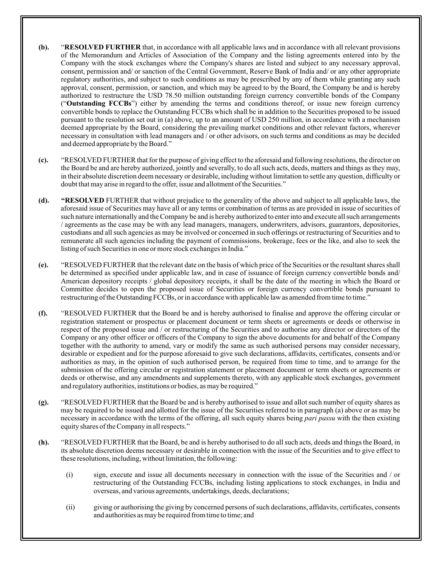- **(b).** "**RESOLVED FURTHER** that, in accordance with all applicable laws and in accordance with all relevant provisions of the Memorandum and Articles of Association of the Company and the listing agreements entered into by the Company with the stock exchanges where the Company's shares are listed and subject to any necessary approval, consent, permission and/ or sanction of the Central Government, Reserve Bank of India and/ or any other appropriate regulatory authorities, and subject to such conditions as may be prescribed by any of them while granting any such approval, consent, permission, or sanction, and which may be agreed to by the Board, the Company be and is hereby authorized to restructure the USD 78.50 million outstanding foreign currency convertible bonds of the Company ("**Outstanding FCCBs**") either by amending the terms and conditions thereof, or issue new foreign currency convertible bonds to replace the Outstanding FCCBs which shall be in addition to the Securities proposed to be issued pursuant to the resolution set out in (a) above, up to an amount of USD 250 million, in accordance with a mechanism deemed appropriate by the Board, considering the prevailing market conditions and other relevant factors, wherever necessary in consultation with lead managers and / or other advisors, on such terms and conditions as may be decided and deemed appropriate by the Board."
- **(c).** "RESOLVED FURTHER that for the purpose of giving effect to the aforesaid and following resolutions, the director on the Board be and are hereby authorized, jointly and severally, to do all such acts, deeds, matters and things as they may, in their absolute discretion deem necessary or desirable, including without limitation to settle any question, difficulty or doubt that may arise in regard to the offer, issue and allotment of the Securities."
- **(d). "RESOLVED** FURTHER that without prejudice to the generality of the above and subject to all applicable laws, the aforesaid issue of Securities may have all or any terms or combination of terms as are provided in issue of securities of such nature internationally and the Company be and is hereby authorized to enter into and execute all such arrangements / agreements as the case may be with any lead managers, managers, underwriters, advisors, guarantors, depositories, custodians and all such agencies as may be involved or concerned in such offerings or restructuring of Securities and to remunerate all such agencies including the payment of commissions, brokerage, fees or the like, and also to seek the listing of such Securities in one or more stock exchanges in India."
- **(e).** "RESOLVED FURTHER that the relevant date on the basis of which price of the Securities or the resultant shares shall be determined as specified under applicable law, and in case of issuance of foreign currency convertible bonds and/ American depository receipts / global depository receipts, it shall be the date of the meeting in which the Board or Committee decides to open the proposed issue of Securities or foreign currency convertible bonds pursuant to restructuring of the Outstanding FCCBs, or in accordance with applicable law as amended from time to time."
- **(f).** "RESOLVED FURTHER that the Board be and is hereby authorised to finalise and approve the offering circular or registration statement or prospectus or placement document or term sheets or agreements or deeds or otherwise in respect of the proposed issue and / or restructuring of the Securities and to authorise any director or directors of the Company or any other officer or officers of the Company to sign the above documents for and behalf of the Company together with the authority to amend, vary or modify the same as such authorised persons may consider necessary, desirable or expedient and for the purpose aforesaid to give such declarations, affidavits, certificates, consents and/or authorities as may, in the opinion of such authorised person, be required from time to time, and to arrange for the submission of the offering circular or registration statement or placement document or term sheets or agreements or deeds or otherwise, and any amendments and supplements thereto, with any applicable stock exchanges, government and regulatory authorities, institutions or bodies, as may be required."
- **(g).** "RESOLVED FURTHER that the Board be and is hereby authorised to issue and allot such number of equity shares as may be required to be issued and allotted for the issue of the Securities referred to in paragraph (a) above or as may be necessary in accordance with the terms of the offering, all such equity shares being *pari passu* with the then existing equity shares of the Company in all respects."
- **(h).** "RESOLVED FURTHER that the Board, be and is hereby authorised to do all such acts, deeds and things the Board, in its absolute discretion deems necessary or desirable in connection with the issue of the Securities and to give effect to these resolutions, including, without limitation, the following:
	- (i) sign, execute and issue all documents necessary in connection with the issue of the Securities and / or restructuring of the Outstanding FCCBs, including listing applications to stock exchanges, in India and overseas, and various agreements, undertakings, deeds, declarations;
	- (ii) giving or authorising the giving by concerned persons of such declarations, affidavits, certificates, consents and authorities as may be required from time to time; and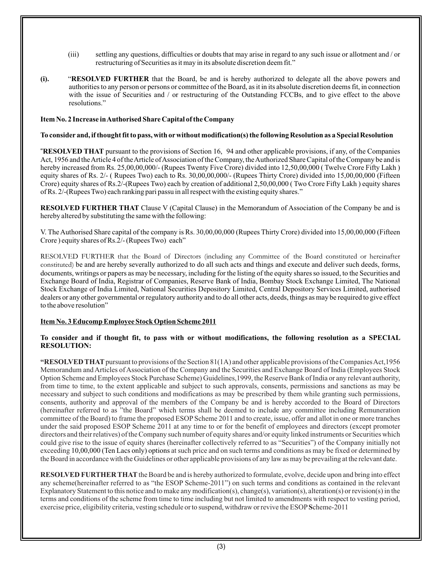- (iii) settling any questions, difficulties or doubts that may arise in regard to any such issue or allotment and / or restructuring of Securities as it may in its absolute discretion deem fit."
- **(i).** "**RESOLVED FURTHER** that the Board, be and is hereby authorized to delegate all the above powers and authorities to any person or persons or committee of the Board, as it in its absolute discretion deems fit, in connection with the issue of Securities and / or restructuring of the Outstanding FCCBs, and to give effect to the above resolutions."

#### **Item No. 2 Increase in Authorised Share Capital of the Company**

#### **To consider and, if thought fit to pass, with orwithout modification(s) the following Resolution as a Special Resolution**

**"RESOLVED THAT** pursuant to the provisions of Section 16, 94 and other applicable provisions, if any, of the Companies Act, 1956 and the Article 4 of the Article of Association of the Company, the Authorized Share Capital of the Company be and is hereby increased from Rs. 25,00,00,000/- (Rupees Twenty Five Crore) divided into 12,50,00,000 ( Twelve Crore Fifty Lakh ) equity shares of Rs. 2/- ( Rupees Two) each to Rs. 30,00,00,000/- (Rupees Thirty Crore) divided into 15,00,00,000 (Fifteen Crore) equity shares of Rs.2/-(Rupees Two) each by creation of additional 2,50,00,000 ( Two Crore Fifty Lakh ) equity shares of Rs. 2/-(Rupees Two) each ranking pari passu in all respect with the existing equity shares."

**RESOLVED FURTHER THAT** Clause V (Capital Clause) in the Memorandum of Association of the Company be and is hereby altered by substituting the same with the following:

V. The Authorised Share capital of the company is Rs. 30,00,00,000 (Rupees Thirty Crore) divided into 15,00,00,000 (Fifteen Crore ) equity shares of Rs.2/- (Rupees Two) each"

RESOLVED FURTHER that the Board of Directors (including any Committee of the Board constituted or hereinafter constituted) be and are hereby severally authorized to do all such acts and things and execute and deliver such deeds, forms, documents, writings or papers as may be necessary, including for the listing of the equity shares so issued, to the Securities and Exchange Board of India, Registrar of Companies, Reserve Bank of India, Bombay Stock Exchange Limited, The National Stock Exchange of India Limited, National Securities Depository Limited, Central Depository Services Limited, authorised dealers or any other governmental or regulatory authority and to do all other acts, deeds, things as may be required to give effect to the above resolution"

#### **Item No. 3 Educomp Employee Stock Option Scheme 2011**

#### **To consider and if thought fit, to pass with or without modifications, the following resolution as a SPECIAL RESOLUTION:**

exceeding 10,00,000 (Ten Lacs only) options at such price and on such terms and conditions as may be fixed or determined by **"RESOLVED THAT** pursuant to provisions of the Section 81(1A) and other applicable provisions of the Companies Act,1956 Memorandum and Articles of Association of the Company and the Securities and Exchange Board of India (Employees Stock Option Scheme and Employees Stock Purchase Scheme) Guidelines,1999, the Reserve Bank of India or any relevant authority, from time to time, to the extent applicable and subject to such approvals, consents, permissions and sanctions as may be necessary and subject to such conditions and modifications as may be prescribed by them while granting such permissions, consents, authority and approval of the members of the Company be and is hereby accorded to the Board of Directors (hereinafter referred to as "the Board" which terms shall be deemed to include any committee including Remuneration committee of the Board) to frame the proposed ESOP Scheme 2011 and to create, issue, offer and allot in one or more tranches under the said proposed ESOP Scheme 2011 at any time to or for the benefit of employees and directors (except promoter directors and their relatives) of the Company such number of equity shares and/or equity linked instruments or Securities which could give rise to the issue of equity shares (hereinafter collectively referred to as "Securities") of the Company initially not the Board in accordance with the Guidelines or other applicable provisions of any law as may be prevailing at the relevant date.

**RESOLVED FURTHER THAT**the Board be and is hereby authorized to formulate, evolve, decide upon and bring into effect any scheme(hereinafter referred to as "the ESOP Scheme-2011") on such terms and conditions as contained in the relevant Explanatory Statement to this notice and to make any modification(s), change(s), variation(s), alteration(s) or revision(s) in the terms and conditions of the scheme from time to time including but not limited to amendments with respect to vesting period, exercise price, eligibility criteria, vesting schedule or to suspend, withdraw or revive the ESOP**S**cheme-2011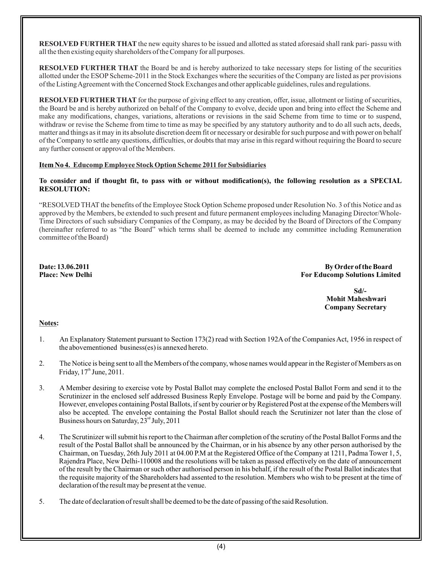**RESOLVED FURTHER THAT** the new equity shares to be issued and allotted as stated aforesaid shall rank pari- passu with all the then existing equity shareholders of the Company for all purposes.

**RESOLVED FURTHER THAT** the Board be and is hereby authorized to take necessary steps for listing of the securities allotted under the ESOP Scheme-2011 in the Stock Exchanges where the securities of the Company are listed as per provisions of the Listing Agreement with the Concerned Stock Exchanges and other applicable guidelines, rules and regulations.

**RESOLVED FURTHER THAT** for the purpose of giving effect to any creation, offer, issue, allotment or listing of securities, the Board be and is hereby authorized on behalf of the Company to evolve, decide upon and bring into effect the Scheme and make any modifications, changes, variations, alterations or revisions in the said Scheme from time to time or to suspend, withdraw or revise the Scheme from time to time as may be specified by any statutory authority and to do all such acts, deeds, matter and things as it may in its absolute discretion deem fit or necessary or desirable for such purpose and with power on behalf of the Company to settle any questions, difficulties, or doubts that may arise in this regard without requiring the Board to secure any further consent or approval of the Members.

### **Educomp Employee Stock Option Scheme 2011 forSubsidiaries Item No 4.**

### **To consider and if thought fit, to pass with or without modification(s), the following resolution as a SPECIAL RESOLUTION:**

"RESOLVED THAT the benefits of the Employee Stock Option Scheme proposed under Resolution No. 3 of this Notice and as approved by the Members, be extended to such present and future permanent employees including Managing Director/Whole-Time Directors of such subsidiary Companies of the Company, as may be decided by the Board of Directors of the Company (hereinafter referred to as "the Board" which terms shall be deemed to include any committee including Remuneration committee of the Board)

**Date: 13.06.2011** By Order of the Board<br>Place: New Delhi **Board**<br>For Educomp Solutions Limit **For Educomp Solutions Limited** 

> **Sd/- Mohit Maheshwari Company Secretary**

#### **Notes:**

- 1. An Explanatory Statement pursuant to Section 173(2) read with Section 192A of the Companies Act, 1956 in respect of the abovementioned business(es) is annexed hereto.
- 2. The Notice is being sent to all the Members of the company, whose names would appear in the Register of Members as on Friday,  $17<sup>th</sup>$  June, 2011.
- 3. A Member desiring to exercise vote by Postal Ballot may complete the enclosed Postal Ballot Form and send it to the Scrutinizer in the enclosed self addressed Business Reply Envelope. Postage will be borne and paid by the Company. However, envelopes containing Postal Ballots, if sent by courier or by Registered Post at the expense of the Members will also be accepted. The envelope containing the Postal Ballot should reach the Scrutinizer not later than the close of Business hours on Saturday,  $23<sup>rd</sup>$  July, 2011
- 4. The Scrutinizer will submit his report to the Chairman after completion of the scrutiny of the Postal Ballot Forms and the result of the Postal Ballot shall be announced by the Chairman, or in his absence by any other person authorised by the Chairman, on Tuesday, 26th July 2011 at 04.00 P.M at the Registered Office of the Company at 1211, Padma Tower 1, 5, Rajendra Place, New Delhi-110008 and the resolutions will be taken as passed effectively on the date of announcement of the result by the Chairman or such other authorised person in his behalf, if the result of the Postal Ballot indicates that the requisite majority of the Shareholders had assented to the resolution. Members who wish to be present at the time of declaration of the result may be present at the venue.
- 5. The date of declaration of result shall be deemed to be the date of passing of the said Resolution.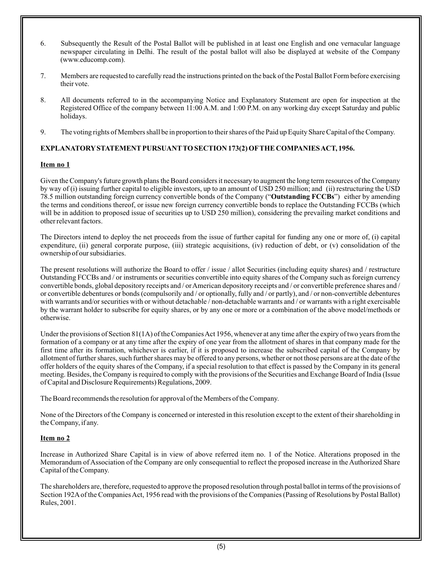- 6. Subsequently the Result of the Postal Ballot will be published in at least one English and one vernacular language newspaper circulating in Delhi. The result of the postal ballot will also be displayed at website of the Company (www.educomp.com).
- 7. Members are requested to carefully read the instructions printed on the back of the Postal Ballot Form before exercising their vote.
- 8. All documents referred to in the accompanying Notice and Explanatory Statement are open for inspection at the Registered Office of the company between 11:00 A.M. and 1:00 P.M. on any working day except Saturday and public holidays.
- 9. The voting rights of Members shall be in proportion to their shares of the Paid up Equity Share Capital of the Company.

# **EXPLANATORYSTATEMENTPURSUANTTO SECTION 173(2) OFTHE COMPANIES ACT, 1956.**

# **Item no 1**

Given the Company's future growth plans the Board considers it necessary to augment the long term resources of the Company by way of (i) issuing further capital to eligible investors, up to an amount of USD 250 million; and (ii) restructuring the USD 78.5 million outstanding foreign currency convertible bonds of the Company ("**Outstanding FCCBs**") either by amending the terms and conditions thereof, or issue new foreign currency convertible bonds to replace the Outstanding FCCBs (which will be in addition to proposed issue of securities up to USD 250 million), considering the prevailing market conditions and other relevant factors.

The Directors intend to deploy the net proceeds from the issue of further capital for funding any one or more of, (i) capital expenditure, (ii) general corporate purpose, (iii) strategic acquisitions, (iv) reduction of debt, or (v) consolidation of the ownership of our subsidiaries.

The present resolutions will authorize the Board to offer / issue / allot Securities (including equity shares) and / restructure Outstanding FCCBs and / or instruments or securities convertible into equity shares of the Company such as foreign currency convertible bonds, global depository receipts and / or American depository receipts and / or convertible preference shares and / or convertible debentures or bonds (compulsorily and / or optionally, fully and / or partly), and / or non-convertible debentures with warrants and/or securities with or without detachable / non-detachable warrants and / or warrants with a right exercisable by the warrant holder to subscribe for equity shares, or by any one or more or a combination of the above model/methods or otherwise.

Under the provisions of Section 81(1A) of the Companies Act 1956, whenever at any time after the expiry of two years from the formation of a company or at any time after the expiry of one year from the allotment of shares in that company made for the first time after its formation, whichever is earlier, if it is proposed to increase the subscribed capital of the Company by allotment of further shares, such further shares may be offered to any persons, whether or not those persons are at the date of the offer holders of the equity shares of the Company, if a special resolution to that effect is passed by the Company in its general meeting. Besides, the Company is required to comply with the provisions of the Securities and Exchange Board of India (Issue of Capital and Disclosure Requirements) Regulations, 2009.

The Board recommends the resolution for approval of the Members of the Company.

None of the Directors of the Company is concerned or interested in this resolution except to the extent of their shareholding in the Company, if any.

# **Item no 2**

Increase in Authorized Share Capital is in view of above referred item no. 1 of the Notice. Alterations proposed in the Memorandum of Association of the Company are only consequential to reflect the proposed increase in the Authorized Share Capital of the Company.

The shareholders are, therefore, requested to approve the proposed resolution through postal ballot in terms of the provisions of Section 192Aof the Companies Act, 1956 read with the provisions of the Companies (Passing of Resolutions by Postal Ballot) Rules, 2001.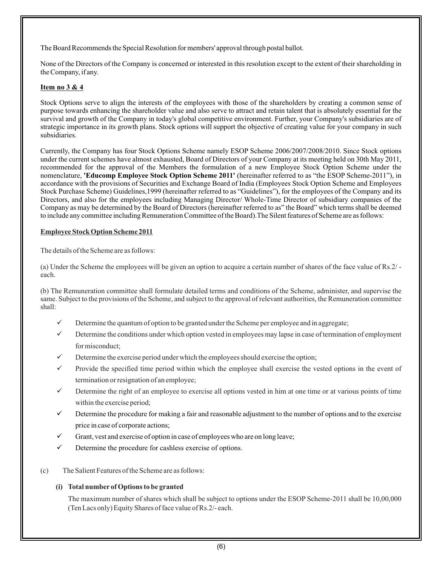The Board Recommends the Special Resolution for members' approval through postal ballot.

None of the Directors of the Company is concerned or interested in this resolution except to the extent of their shareholding in the Company, if any.

# **Item no 3 & 4**

Stock Options serve to align the interests of the employees with those of the shareholders by creating a common sense of purpose towards enhancing the shareholder value and also serve to attract and retain talent that is absolutely essential for the survival and growth of the Company in today's global competitive environment. Further, your Company's subsidiaries are of strategic importance in its growth plans. Stock options will support the objective of creating value for your company in such subsidiaries.

Currently, the Company has four Stock Options Scheme namely ESOP Scheme 2006/2007/2008/2010. Since Stock options under the current schemes have almost exhausted, Board of Directors of your Company at its meeting held on 30th May 2011, recommended for the approval of the Members the formulation of a new Employee Stock Option Scheme under the nomenclature, **'Educomp Employee Stock Option Scheme 2011'** (hereinafter referred to as "the ESOP Scheme-2011"), in accordance with the provisions of Securities and Exchange Board of India (Employees Stock Option Scheme and Employees Stock Purchase Scheme) Guidelines,1999 (hereinafter referred to as "Guidelines"), for the employees of the Company and its Directors, and also for the employees including Managing Director/ Whole-Time Director of subsidiary companies of the Company as may be determined by the Board of Directors (hereinafter referred to as" the Board" which terms shall be deemed to include any committee including Remuneration Committee of the Board).The Silent features of Scheme are as follows:

# **Employee Stock Option Scheme 2011**

The details of the Scheme are as follows:

(a) Under the Scheme the employees will be given an option to acquire a certain number of shares of the face value of Rs.2/ each.

(b) The Remuneration committee shall formulate detailed terms and conditions of the Scheme, administer, and supervise the same. Subject to the provisions of the Scheme, and subject to the approval of relevant authorities, the Remuneration committee shall:

- Determine the quantum of option to be granted under the Scheme per employee and in aggregate;
- Determine the conditions under which option vested in employees may lapse in case of termination of employment for misconduct;
- $\checkmark$  Determine the exercise period under which the employees should exercise the option;
- Provide the specified time period within which the employee shall exercise the vested options in the event of termination or resignation of an employee;
- $\checkmark$  Determine the right of an employee to exercise all options vested in him at one time or at various points of time within the exercise period;
- $\checkmark$  Determine the procedure for making a fair and reasonable adjustment to the number of options and to the exercise price in case of corporate actions;
- Grant, vest and exercise of option in case of employees who are on long leave;
- Determine the procedure for cashless exercise of options.
- (c) The Salient Features of the Scheme are as follows:

# **(i) Total number of Options to be granted**

The maximum number of shares which shall be subject to options under the ESOP Scheme-2011 shall be 10,00,000 (Ten Lacs only) Equity Shares of face value of Rs.2/- each.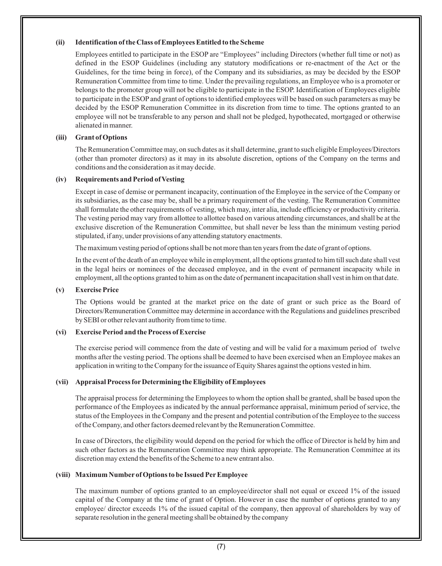# **(ii) Identification of the Class of Employees Entitled to the Scheme**

Employees entitled to participate in the ESOP are "Employees" including Directors (whether full time or not) as defined in the ESOP Guidelines (including any statutory modifications or re-enactment of the Act or the Guidelines, for the time being in force), of the Company and its subsidiaries, as may be decided by the ESOP Remuneration Committee from time to time. Under the prevailing regulations, an Employee who is a promoter or belongs to the promoter group will not be eligible to participate in the ESOP. Identification of Employees eligible to participate in the ESOPand grant of options to identified employees will be based on such parameters as may be decided by the ESOP Remuneration Committee in its discretion from time to time. The options granted to an employee will not be transferable to any person and shall not be pledged, hypothecated, mortgaged or otherwise alienated in manner.

## **(iii) Grant of Options**

The Remuneration Committee may, on such dates as it shall determine, grant to such eligible Employees/Directors (other than promoter directors) as it may in its absolute discretion, options of the Company on the terms and conditions and the consideration as it may decide.

### **(iv) Requirements and Period of Vesting**

Except in case of demise or permanent incapacity, continuation of the Employee in the service of the Company or its subsidiaries, as the case may be, shall be a primary requirement of the vesting. The Remuneration Committee shall formulate the other requirements of vesting, which may, inter alia, include efficiency or productivity criteria. The vesting period may vary from allottee to allottee based on various attending circumstances, and shall be at the exclusive discretion of the Remuneration Committee, but shall never be less than the minimum vesting period stipulated, if any, under provisions of any attending statutory enactments.

The maximum vesting period of options shall be not more than ten years from the date of grant of options.

In the event of the death of an employee while in employment, all the options granted to him till such date shall vest in the legal heirs or nominees of the deceased employee, and in the event of permanent incapacity while in employment, all the options granted to him as on the date of permanent incapacitation shall vest in him on that date.

## **(v) Exercise Price**

The Options would be granted at the market price on the date of grant or such price as the Board of Directors/Remuneration Committee may determine in accordance with the Regulations and guidelines prescribed by SEBI or other relevant authority from time to time.

# **(vi) Exercise Period and the Process of Exercise**

The exercise period will commence from the date of vesting and will be valid for a maximum period of twelve months after the vesting period. The options shall be deemed to have been exercised when an Employee makes an application in writing to the Company for the issuance of Equity Shares against the options vested in him.

# **(vii) Appraisal Process forDetermining the Eligibility of Employees**

The appraisal process for determining the Employees to whom the option shall be granted, shall be based upon the performance of the Employees as indicated by the annual performance appraisal, minimum period of service, the status of the Employees in the Company and the present and potential contribution of the Employee to the success of the Company, and other factors deemed relevant by the Remuneration Committee.

In case of Directors, the eligibility would depend on the period for which the office of Director is held by him and such other factors as the Remuneration Committee may think appropriate. The Remuneration Committee at its discretion may extend the benefits of the Scheme to a new entrant also.

#### **(viii) Maximum Number of Options to be Issued PerEmployee**

The maximum number of options granted to an employee/director shall not equal or exceed 1% of the issued capital of the Company at the time of grant of Option. However in case the number of options granted to any employee/ director exceeds 1% of the issued capital of the company, then approval of shareholders by way of separate resolution in the general meeting shall be obtained by the company